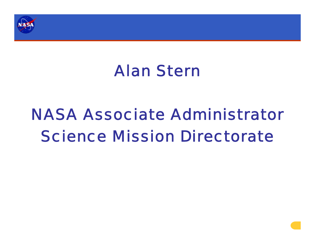

### Alan Stern

### NASA Associate AdministratorScience Mission Directorate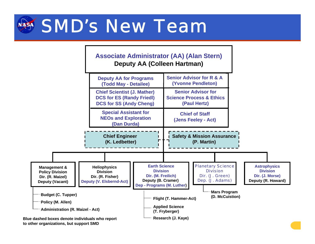

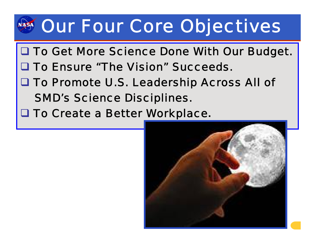## Our Four Core Objectives

- **Q To Get More Science Done With Our Budget.**
- **Q To Ensure "The Vision" Succeeds.**
- To Promote U.S. Leadership Across All of SMD's Science Disciplines.
- To Create a Better Workplace**.**

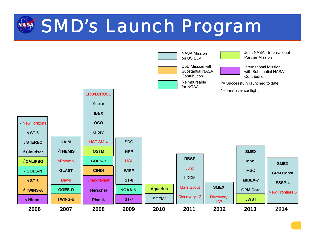### **SMD's Launch Program**

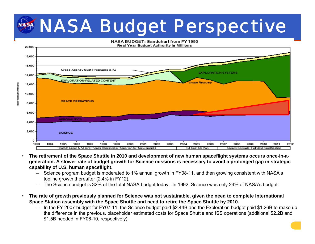### NASA Budget Perspective



- • **The retirement of the Space Shuttle in 2010 and development of new human spaceflight systems occurs once-in-ageneration. A slower rate of budget growth for Science missions is necessary to avoid a prolonged gap in strategic capability of U.S. human spaceflight.**
	- – Science program budget is moderated to 1% annual growth in FY08-11, and then growing consistent with NASA's topline growth thereafter (2.4% in FY12).
	- The Science budget is 32% of the total NASA budget today. In 1992, Science was only 24% of NASA's budget.
- **The rate of growth previously planned for Science was not sustainable, given the need to complete International Space Station assembly with the Space Shuttle and need to retire the Space Shuttle by 2010.**

•

**GerSinMillors** 

– In the FY 2007 budget for FY07-11, the Science budget paid \$2.44B and the Exploration budget paid \$1.26B to make up the difference in the previous, placeholder estimated costs for Space Shuttle and ISS operations (additional \$2.2B and \$1.5B needed in FY06-10, respectively).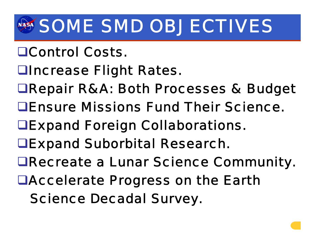## SOME SMD OBJECTIVES

- Control Costs.
- Increase Flight Rates.
- Repair R&A: Both Processes & Budget
- Ensure Missions Fund Their Science.
- Expand Foreign Collaborations.
- Expand Suborbital Research.
- Recreate a Lunar Science Community.
- Accelerate Progress on the Earth
	- Science Decadal Survey.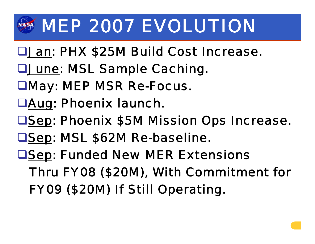## **MMEP 2007 EVOLUTION**

- **LJan: PHX \$25M Build Cost Increase.**
- **<u>OJune: MSL Sample Caching.</u>**
- May: MEP MSR Re-Focus.
- Aug: Phoenix launch.
- **OSep: Phoenix \$5M Mission Ops Increase.**
- **□Sep: MSL \$62M Re-baseline.**
- **OSep: Funded New MER Extensions** Thru FY08 (\$20M), With Commitment for FY09 (\$20M) If Still Operating.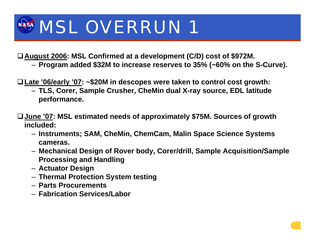# MSL OVERRUN 1

**August 2006: MSL Confirmed at a development (C/D) cost of \$972M.**

– **Program added \$32M to increase reserves to 35% (~60% on the S-Curve).**

**Late '06/early '07: ~\$20M in descopes were taken to control cost growth:**

- **TLS, Corer, Sample Crusher, CheMin dual X-ray source, EDL latitude performance.**
- **June '07: MSL estimated needs of approximately \$75M. Sources of growth included:**
	- **Instruments; SAM, CheMin, ChemCam, Malin Space Science Systems cameras.**
	- **Mechanical Design of Rover body, Corer/drill, Sample Acquisition/Sample Processing and Handling**
	- **Actuator Design**
	- **Thermal Protection System testing**
	- **Parts Procurements**
	- **Fabrication Services/Labor**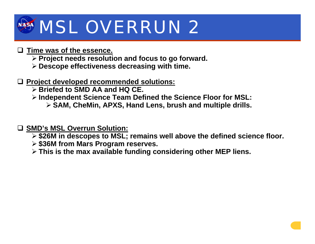# **MSL OVERRUN 2**

#### **Time was of the essence.**

- ¾ **Project needs resolution and focus to go forward.**
- ¾ **Descope effectiveness decreasing with time.**
- **Project developed recommended solutions:**
	- ¾ **Briefed to SMD AA and HQ CE.**
	- ¾ **Independent Science Team Defined the Science Floor for MSL:**
		- ¾ **SAM, CheMin, APXS, Hand Lens, brush and multiple drills.**

#### **SMD's MSL Overrun Solution:**

- ¾ **\$26M in descopes to MSL; remains well above the defined science floor.**
- ¾ **\$36M from Mars Program reserves.**
- ¾ **This is the max available funding considering other MEP liens.**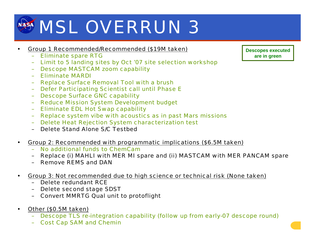# **MSL OVERRUN 3**

- • Group 1 Recommended/Recommended (\$19M taken)
	- $\equiv$ Eliminate spare RTG
	- –Limit to 5 landing sites by Oct '07 site selection workshop
	- –Descope MASTCAM zoom capability
	- –Eliminate MARDI
	- –Replace Surface Removal Tool with a brush
	- –Defer Participating Scientist call until Phase E
	- –Descope Surface GNC capability
	- –Reduce Mission System Development budget
	- –Eliminate EDL Hot Swap capability
	- –Replace system vibe with acoustics as in past Mars missions
	- $\equiv$ Delete Heat Rejection System characterization test
	- –Delete Stand Alone S/C Testbed
- Group 2: Recommended with programmatic implications (\$6.5M taken)
	- No additional funds to ChemCam
	- –Replace (i) MAHLI with MER MI spare and (ii) MASTCAM with MER PANCAM spare
	- Remove REMS and DAN
- Group 3: Not recommended due to high science or technical risk (None taken)
	- Delete redundant RCE
	- Delete second stage SDST
	- Convert MMRTG Qual unit to protoflight
- •Other (\$0.5M taken)

•

•

- –Descope TLS re-integration capability (follow up from early-07 descope round)
- Cost Cap SAM and Chemin

**Descopes executed are in green**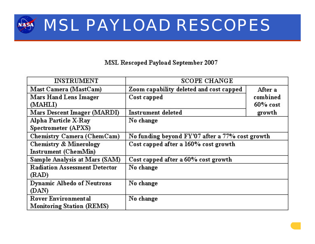### MSL PAYLOAD RESCOPES

#### **MSL Rescoped Payload September 2007**

| <b>INSTRUMENT</b>                    | <b>SCOPE CHANGE</b>                             |             |
|--------------------------------------|-------------------------------------------------|-------------|
| Mast Camera (MastCam)                | Zoom capability deleted and cost capped         | After a     |
| <b>Mars Hand Lens Imager</b>         | Cost capped                                     | combined    |
| (MAHLI)                              |                                                 | $60\%$ cost |
| Mars Descent Imager (MARDI)          | <b>Instrument deleted</b>                       | growth      |
| Alpha Particle X-Ray                 | No change                                       |             |
| Spectrometer (APXS)                  |                                                 |             |
| Chemistry Camera (ChemCam)           | No funding beyond FY'07 after a 77% cost growth |             |
| <b>Chemistry &amp; Minerology</b>    | Cost capped after a 160% cost growth            |             |
| Instrument (ChemMin)                 |                                                 |             |
| Sample Analysis at Mars (SAM)        | Cost capped after a 60% cost growth             |             |
| <b>Radiation Assessment Detector</b> | No change                                       |             |
| (RAD)                                |                                                 |             |
| <b>Dynamic Albedo of Neutrons</b>    | No change                                       |             |
| (DAN)                                |                                                 |             |
| <b>Rover Environmental</b>           | No change                                       |             |
| <b>Monitoring Station (REMS)</b>     |                                                 |             |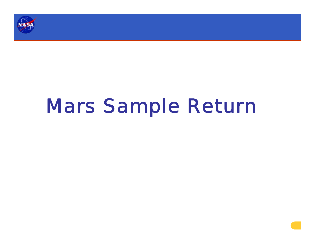

# Mars Sample Return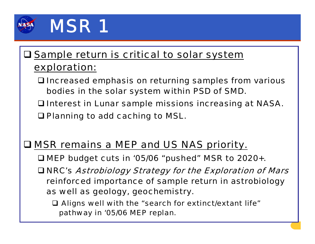

### **Q** Sample return is critical to solar system exploration:

- Increased emphasis on returning samples from various bodies in the solar system within PSD of SMD.
- **Q Interest in Lunar sample missions increasing at NASA.**

**□ Planning to add caching to MSL.** 

### **Q MSR remains a MEP and US NAS priority.**

- MEP budget cuts in '05/06 "pushed" MSR to 2020+.
- NRC's Astrobiology Strategy for the Exploration of Mars reinforced importance of sample return in astrobiology as well as geology, geochemistry.
	- Aligns well with the "search for extinct/extant life" pathway in '05/06 MEP replan.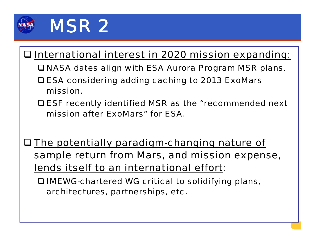

### **Q International interest in 2020 mission expanding:**

- NASA dates align with ESA Aurora Program MSR plans.
- ESA considering adding caching to 2013 ExoMars mission.
- ESF recently identified MSR as the "recommended next mission after ExoMars" for ESA.
- **O The potentially paradigm-changing nature of** sample return from Mars, and mission expense, lends itself to an international effort:

 IMEWG-chartered WG critical to solidifying plans, architectures, partnerships, etc.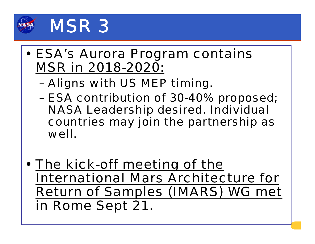

- ESA's Aurora Program contains MSR in 2018-2020:
	- –Aligns with US MEP timing.
	- – ESA contribution of 30-40% proposed; NASA Leadership desired. Individual countries may join the partnership as well.
- The kick-off meeting of the International Mars Architecture for Return of Samples (IMARS) WG met in Rome Sept 21.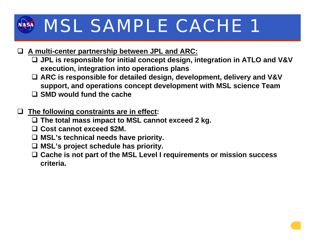## MSL SAMPLE CACHE 1

#### **A multi-center partnership between JPL and ARC:**

- **JPL is responsible for initial concept design, integration in ATLO and V&V execution, integration into operations plans**
- **ARC is responsible for detailed design, development, delivery and V&V support, and operations concept development with MSL science Team**
- **SMD would fund the cache**

#### **The following constraints are in effect:**

- **The total mass impact to MSL cannot exceed 2 kg.**
- **Cost cannot exceed \$2M.**
- **MSL's technical needs have priority.**
- **MSL's project schedule has priority.**
- **Cache is not part of the MSL Level I requirements or mission success criteria.**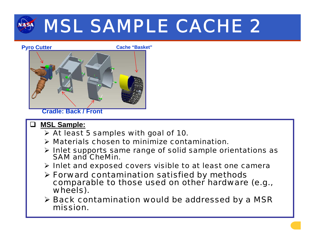## MSL SAMPLE CACHE 2



**Cradle: Back / Front**

- $\Box$  **MSL Sample:**
	- $\triangleright$  At least 5 samples with goal of 10.
	- $\triangleright$  Materials chosen to minimize contamination.
	- $\triangleright$  Inlet supports same range of solid sample orientations as SAM and CheMin.
	- ¾ Inlet and exposed covers visible to at least one camera
	- > Forward contamination satisfied by methods comparable to those used on other hardware (e.g., wheels).
	- ¾ Back contamination would be addressed by a MSR mission.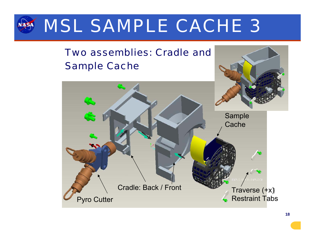

### Two assemblies: Cradle and Sample Cache